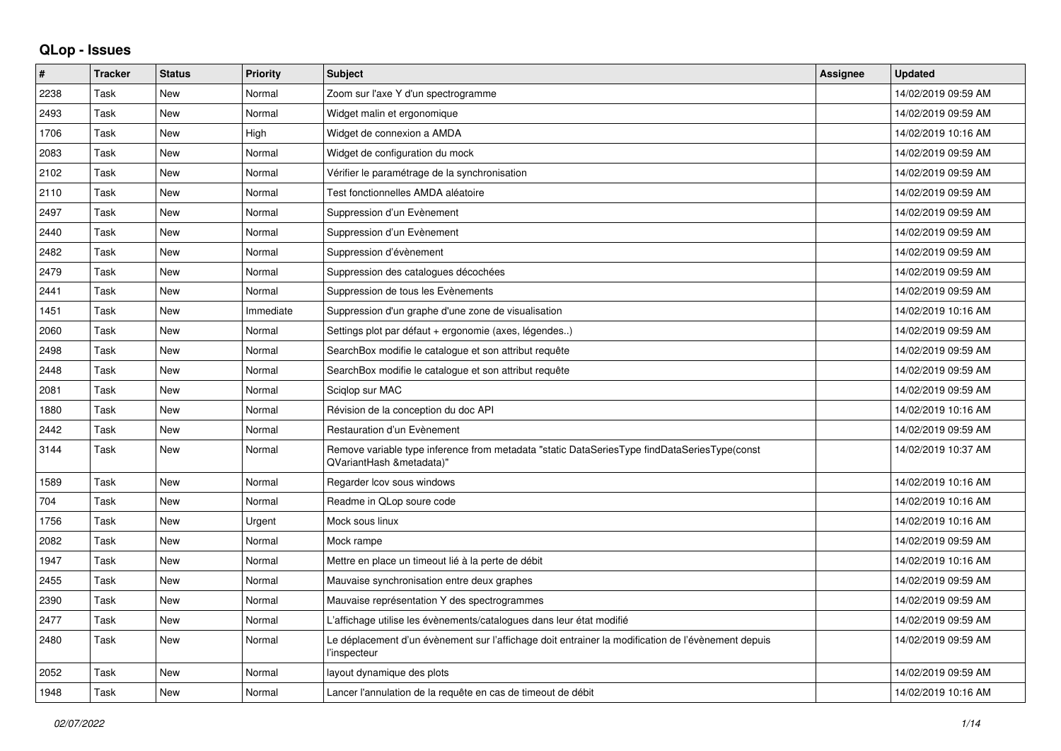## **QLop - Issues**

| ∦    | <b>Tracker</b> | <b>Status</b> | Priority  | <b>Subject</b>                                                                                                           | Assignee | <b>Updated</b>      |
|------|----------------|---------------|-----------|--------------------------------------------------------------------------------------------------------------------------|----------|---------------------|
| 2238 | Task           | New           | Normal    | Zoom sur l'axe Y d'un spectrogramme                                                                                      |          | 14/02/2019 09:59 AM |
| 2493 | Task           | <b>New</b>    | Normal    | Widget malin et ergonomique                                                                                              |          | 14/02/2019 09:59 AM |
| 1706 | Task           | <b>New</b>    | High      | Widget de connexion a AMDA                                                                                               |          | 14/02/2019 10:16 AM |
| 2083 | Task           | <b>New</b>    | Normal    | Widget de configuration du mock                                                                                          |          | 14/02/2019 09:59 AM |
| 2102 | Task           | New           | Normal    | Vérifier le paramétrage de la synchronisation                                                                            |          | 14/02/2019 09:59 AM |
| 2110 | Task           | <b>New</b>    | Normal    | Test fonctionnelles AMDA aléatoire                                                                                       |          | 14/02/2019 09:59 AM |
| 2497 | Task           | <b>New</b>    | Normal    | Suppression d'un Evènement                                                                                               |          | 14/02/2019 09:59 AM |
| 2440 | Task           | <b>New</b>    | Normal    | Suppression d'un Evènement                                                                                               |          | 14/02/2019 09:59 AM |
| 2482 | Task           | <b>New</b>    | Normal    | Suppression d'évènement                                                                                                  |          | 14/02/2019 09:59 AM |
| 2479 | Task           | <b>New</b>    | Normal    | Suppression des catalogues décochées                                                                                     |          | 14/02/2019 09:59 AM |
| 2441 | Task           | New           | Normal    | Suppression de tous les Evènements                                                                                       |          | 14/02/2019 09:59 AM |
| 1451 | Task           | <b>New</b>    | Immediate | Suppression d'un graphe d'une zone de visualisation                                                                      |          | 14/02/2019 10:16 AM |
| 2060 | Task           | <b>New</b>    | Normal    | Settings plot par défaut + ergonomie (axes, légendes)                                                                    |          | 14/02/2019 09:59 AM |
| 2498 | Task           | <b>New</b>    | Normal    | SearchBox modifie le catalogue et son attribut requête                                                                   |          | 14/02/2019 09:59 AM |
| 2448 | Task           | <b>New</b>    | Normal    | SearchBox modifie le catalogue et son attribut requête                                                                   |          | 14/02/2019 09:59 AM |
| 2081 | Task           | New           | Normal    | Sciglop sur MAC                                                                                                          |          | 14/02/2019 09:59 AM |
| 1880 | Task           | <b>New</b>    | Normal    | Révision de la conception du doc API                                                                                     |          | 14/02/2019 10:16 AM |
| 2442 | Task           | <b>New</b>    | Normal    | Restauration d'un Evènement                                                                                              |          | 14/02/2019 09:59 AM |
| 3144 | Task           | <b>New</b>    | Normal    | Remove variable type inference from metadata "static DataSeriesType findDataSeriesType(const<br>QVariantHash &metadata)" |          | 14/02/2019 10:37 AM |
| 1589 | Task           | <b>New</b>    | Normal    | Regarder Icov sous windows                                                                                               |          | 14/02/2019 10:16 AM |
| 704  | Task           | New           | Normal    | Readme in QLop soure code                                                                                                |          | 14/02/2019 10:16 AM |
| 1756 | Task           | <b>New</b>    | Urgent    | Mock sous linux                                                                                                          |          | 14/02/2019 10:16 AM |
| 2082 | Task           | <b>New</b>    | Normal    | Mock rampe                                                                                                               |          | 14/02/2019 09:59 AM |
| 1947 | Task           | <b>New</b>    | Normal    | Mettre en place un timeout lié à la perte de débit                                                                       |          | 14/02/2019 10:16 AM |
| 2455 | Task           | <b>New</b>    | Normal    | Mauvaise synchronisation entre deux graphes                                                                              |          | 14/02/2019 09:59 AM |
| 2390 | Task           | <b>New</b>    | Normal    | Mauvaise représentation Y des spectrogrammes                                                                             |          | 14/02/2019 09:59 AM |
| 2477 | Task           | <b>New</b>    | Normal    | L'affichage utilise les évènements/catalogues dans leur état modifié                                                     |          | 14/02/2019 09:59 AM |
| 2480 | Task           | <b>New</b>    | Normal    | Le déplacement d'un évènement sur l'affichage doit entrainer la modification de l'évènement depuis<br>l'inspecteur       |          | 14/02/2019 09:59 AM |
| 2052 | Task           | New           | Normal    | layout dynamique des plots                                                                                               |          | 14/02/2019 09:59 AM |
| 1948 | Task           | New           | Normal    | Lancer l'annulation de la requête en cas de timeout de débit                                                             |          | 14/02/2019 10:16 AM |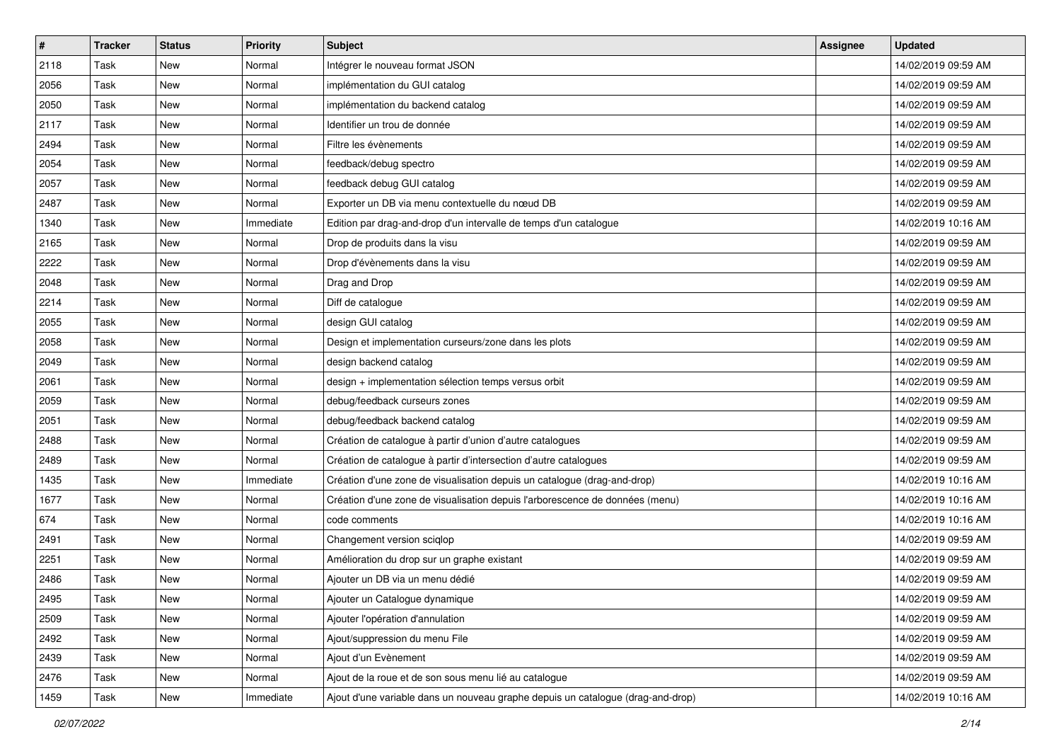| #    | <b>Tracker</b> | <b>Status</b> | <b>Priority</b> | <b>Subject</b>                                                                  | <b>Assignee</b> | <b>Updated</b>      |
|------|----------------|---------------|-----------------|---------------------------------------------------------------------------------|-----------------|---------------------|
| 2118 | Task           | New           | Normal          | Intégrer le nouveau format JSON                                                 |                 | 14/02/2019 09:59 AM |
| 2056 | Task           | <b>New</b>    | Normal          | implémentation du GUI catalog                                                   |                 | 14/02/2019 09:59 AM |
| 2050 | Task           | New           | Normal          | implémentation du backend catalog                                               |                 | 14/02/2019 09:59 AM |
| 2117 | Task           | New           | Normal          | Identifier un trou de donnée                                                    |                 | 14/02/2019 09:59 AM |
| 2494 | Task           | New           | Normal          | Filtre les évènements                                                           |                 | 14/02/2019 09:59 AM |
| 2054 | Task           | New           | Normal          | feedback/debug spectro                                                          |                 | 14/02/2019 09:59 AM |
| 2057 | Task           | New           | Normal          | feedback debug GUI catalog                                                      |                 | 14/02/2019 09:59 AM |
| 2487 | Task           | New           | Normal          | Exporter un DB via menu contextuelle du nœud DB                                 |                 | 14/02/2019 09:59 AM |
| 1340 | Task           | New           | Immediate       | Edition par drag-and-drop d'un intervalle de temps d'un catalogue               |                 | 14/02/2019 10:16 AM |
| 2165 | Task           | New           | Normal          | Drop de produits dans la visu                                                   |                 | 14/02/2019 09:59 AM |
| 2222 | Task           | New           | Normal          | Drop d'évènements dans la visu                                                  |                 | 14/02/2019 09:59 AM |
| 2048 | Task           | New           | Normal          | Drag and Drop                                                                   |                 | 14/02/2019 09:59 AM |
| 2214 | Task           | <b>New</b>    | Normal          | Diff de catalogue                                                               |                 | 14/02/2019 09:59 AM |
| 2055 | Task           | New           | Normal          | design GUI catalog                                                              |                 | 14/02/2019 09:59 AM |
| 2058 | Task           | <b>New</b>    | Normal          | Design et implementation curseurs/zone dans les plots                           |                 | 14/02/2019 09:59 AM |
| 2049 | Task           | New           | Normal          | design backend catalog                                                          |                 | 14/02/2019 09:59 AM |
| 2061 | Task           | <b>New</b>    | Normal          | design + implementation sélection temps versus orbit                            |                 | 14/02/2019 09:59 AM |
| 2059 | Task           | New           | Normal          | debug/feedback curseurs zones                                                   |                 | 14/02/2019 09:59 AM |
| 2051 | Task           | New           | Normal          | debug/feedback backend catalog                                                  |                 | 14/02/2019 09:59 AM |
| 2488 | Task           | New           | Normal          | Création de catalogue à partir d'union d'autre catalogues                       |                 | 14/02/2019 09:59 AM |
| 2489 | Task           | New           | Normal          | Création de catalogue à partir d'intersection d'autre catalogues                |                 | 14/02/2019 09:59 AM |
| 1435 | Task           | New           | Immediate       | Création d'une zone de visualisation depuis un catalogue (drag-and-drop)        |                 | 14/02/2019 10:16 AM |
| 1677 | Task           | New           | Normal          | Création d'une zone de visualisation depuis l'arborescence de données (menu)    |                 | 14/02/2019 10:16 AM |
| 674  | Task           | New           | Normal          | code comments                                                                   |                 | 14/02/2019 10:16 AM |
| 2491 | Task           | New           | Normal          | Changement version sciqlop                                                      |                 | 14/02/2019 09:59 AM |
| 2251 | Task           | <b>New</b>    | Normal          | Amélioration du drop sur un graphe existant                                     |                 | 14/02/2019 09:59 AM |
| 2486 | Task           | New           | Normal          | Ajouter un DB via un menu dédié                                                 |                 | 14/02/2019 09:59 AM |
| 2495 | Task           | New           | Normal          | Ajouter un Catalogue dynamique                                                  |                 | 14/02/2019 09:59 AM |
| 2509 | Task           | New           | Normal          | Ajouter l'opération d'annulation                                                |                 | 14/02/2019 09:59 AM |
| 2492 | Task           | New           | Normal          | Ajout/suppression du menu File                                                  |                 | 14/02/2019 09:59 AM |
| 2439 | Task           | New           | Normal          | Ajout d'un Evènement                                                            |                 | 14/02/2019 09:59 AM |
| 2476 | Task           | New           | Normal          | Ajout de la roue et de son sous menu lié au catalogue                           |                 | 14/02/2019 09:59 AM |
| 1459 | Task           | New           | Immediate       | Ajout d'une variable dans un nouveau graphe depuis un catalogue (drag-and-drop) |                 | 14/02/2019 10:16 AM |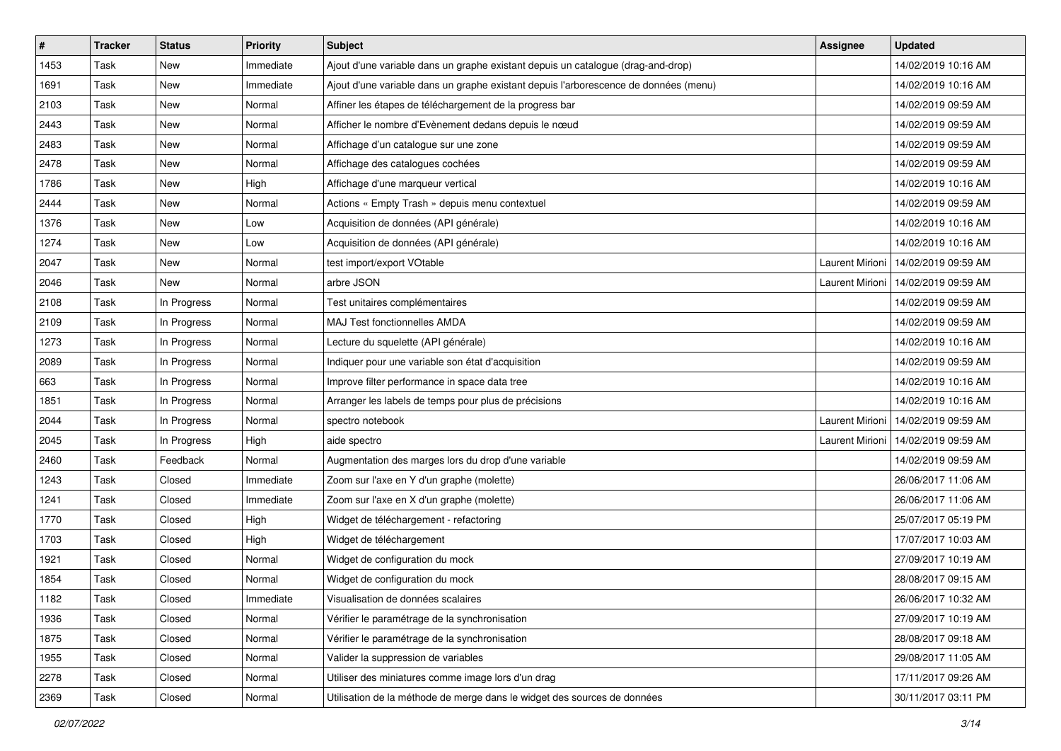| #    | <b>Tracker</b> | <b>Status</b> | <b>Priority</b> | <b>Subject</b>                                                                       | Assignee               | <b>Updated</b>      |
|------|----------------|---------------|-----------------|--------------------------------------------------------------------------------------|------------------------|---------------------|
| 1453 | Task           | New           | Immediate       | Ajout d'une variable dans un graphe existant depuis un catalogue (drag-and-drop)     |                        | 14/02/2019 10:16 AM |
| 1691 | Task           | New           | Immediate       | Ajout d'une variable dans un graphe existant depuis l'arborescence de données (menu) |                        | 14/02/2019 10:16 AM |
| 2103 | Task           | New           | Normal          | Affiner les étapes de téléchargement de la progress bar                              |                        | 14/02/2019 09:59 AM |
| 2443 | Task           | New           | Normal          | Afficher le nombre d'Evènement dedans depuis le nœud                                 |                        | 14/02/2019 09:59 AM |
| 2483 | Task           | New           | Normal          | Affichage d'un catalogue sur une zone                                                |                        | 14/02/2019 09:59 AM |
| 2478 | Task           | New           | Normal          | Affichage des catalogues cochées                                                     |                        | 14/02/2019 09:59 AM |
| 1786 | Task           | New           | High            | Affichage d'une marqueur vertical                                                    |                        | 14/02/2019 10:16 AM |
| 2444 | Task           | New           | Normal          | Actions « Empty Trash » depuis menu contextuel                                       |                        | 14/02/2019 09:59 AM |
| 1376 | Task           | New           | Low             | Acquisition de données (API générale)                                                |                        | 14/02/2019 10:16 AM |
| 1274 | Task           | New           | Low             | Acquisition de données (API générale)                                                |                        | 14/02/2019 10:16 AM |
| 2047 | Task           | New           | Normal          | test import/export VOtable                                                           | <b>Laurent Mirioni</b> | 14/02/2019 09:59 AM |
| 2046 | Task           | New           | Normal          | arbre JSON                                                                           | Laurent Mirioni        | 14/02/2019 09:59 AM |
| 2108 | Task           | In Progress   | Normal          | Test unitaires complémentaires                                                       |                        | 14/02/2019 09:59 AM |
| 2109 | Task           | In Progress   | Normal          | MAJ Test fonctionnelles AMDA                                                         |                        | 14/02/2019 09:59 AM |
| 1273 | Task           | In Progress   | Normal          | Lecture du squelette (API générale)                                                  |                        | 14/02/2019 10:16 AM |
| 2089 | Task           | In Progress   | Normal          | Indiquer pour une variable son état d'acquisition                                    |                        | 14/02/2019 09:59 AM |
| 663  | Task           | In Progress   | Normal          | Improve filter performance in space data tree                                        |                        | 14/02/2019 10:16 AM |
| 1851 | Task           | In Progress   | Normal          | Arranger les labels de temps pour plus de précisions                                 |                        | 14/02/2019 10:16 AM |
| 2044 | Task           | In Progress   | Normal          | spectro notebook                                                                     | <b>Laurent Mirioni</b> | 14/02/2019 09:59 AM |
| 2045 | Task           | In Progress   | High            | aide spectro                                                                         | <b>Laurent Mirioni</b> | 14/02/2019 09:59 AM |
| 2460 | Task           | Feedback      | Normal          | Augmentation des marges lors du drop d'une variable                                  |                        | 14/02/2019 09:59 AM |
| 1243 | Task           | Closed        | Immediate       | Zoom sur l'axe en Y d'un graphe (molette)                                            |                        | 26/06/2017 11:06 AM |
| 1241 | Task           | Closed        | Immediate       | Zoom sur l'axe en X d'un graphe (molette)                                            |                        | 26/06/2017 11:06 AM |
| 1770 | Task           | Closed        | High            | Widget de téléchargement - refactoring                                               |                        | 25/07/2017 05:19 PM |
| 1703 | Task           | Closed        | High            | Widget de téléchargement                                                             |                        | 17/07/2017 10:03 AM |
| 1921 | Task           | Closed        | Normal          | Widget de configuration du mock                                                      |                        | 27/09/2017 10:19 AM |
| 1854 | Task           | Closed        | Normal          | Widget de configuration du mock                                                      |                        | 28/08/2017 09:15 AM |
| 1182 | Task           | Closed        | Immediate       | Visualisation de données scalaires                                                   |                        | 26/06/2017 10:32 AM |
| 1936 | Task           | Closed        | Normal          | Vérifier le paramétrage de la synchronisation                                        |                        | 27/09/2017 10:19 AM |
| 1875 | Task           | Closed        | Normal          | Vérifier le paramétrage de la synchronisation                                        |                        | 28/08/2017 09:18 AM |
| 1955 | Task           | Closed        | Normal          | Valider la suppression de variables                                                  |                        | 29/08/2017 11:05 AM |
| 2278 | Task           | Closed        | Normal          | Utiliser des miniatures comme image lors d'un drag                                   |                        | 17/11/2017 09:26 AM |
| 2369 | Task           | Closed        | Normal          | Utilisation de la méthode de merge dans le widget des sources de données             |                        | 30/11/2017 03:11 PM |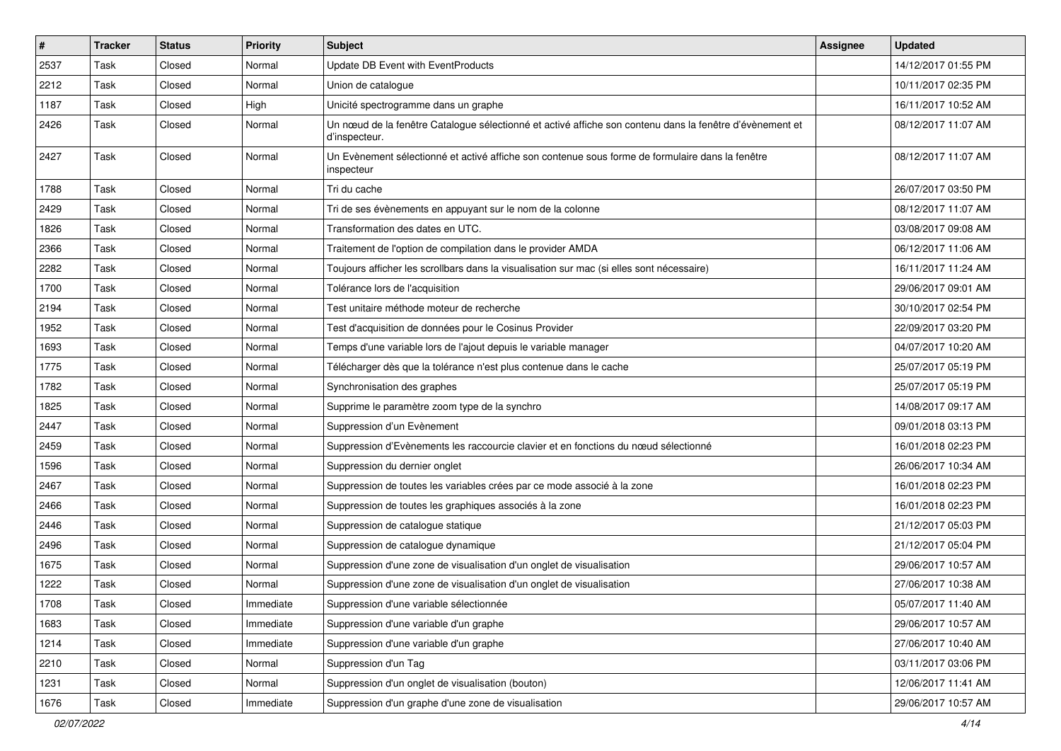| $\vert$ # | <b>Tracker</b> | <b>Status</b> | <b>Priority</b> | Subject                                                                                                                   | Assignee | <b>Updated</b>      |
|-----------|----------------|---------------|-----------------|---------------------------------------------------------------------------------------------------------------------------|----------|---------------------|
| 2537      | Task           | Closed        | Normal          | <b>Update DB Event with EventProducts</b>                                                                                 |          | 14/12/2017 01:55 PM |
| 2212      | Task           | Closed        | Normal          | Union de catalogue                                                                                                        |          | 10/11/2017 02:35 PM |
| 1187      | Task           | Closed        | High            | Unicité spectrogramme dans un graphe                                                                                      |          | 16/11/2017 10:52 AM |
| 2426      | Task           | Closed        | Normal          | Un nœud de la fenêtre Catalogue sélectionné et activé affiche son contenu dans la fenêtre d'évènement et<br>d'inspecteur. |          | 08/12/2017 11:07 AM |
| 2427      | Task           | Closed        | Normal          | Un Evènement sélectionné et activé affiche son contenue sous forme de formulaire dans la fenêtre<br>inspecteur            |          | 08/12/2017 11:07 AM |
| 1788      | Task           | Closed        | Normal          | Tri du cache                                                                                                              |          | 26/07/2017 03:50 PM |
| 2429      | Task           | Closed        | Normal          | Tri de ses évènements en appuyant sur le nom de la colonne                                                                |          | 08/12/2017 11:07 AM |
| 1826      | Task           | Closed        | Normal          | Transformation des dates en UTC.                                                                                          |          | 03/08/2017 09:08 AM |
| 2366      | Task           | Closed        | Normal          | Traitement de l'option de compilation dans le provider AMDA                                                               |          | 06/12/2017 11:06 AM |
| 2282      | Task           | Closed        | Normal          | Toujours afficher les scrollbars dans la visualisation sur mac (si elles sont nécessaire)                                 |          | 16/11/2017 11:24 AM |
| 1700      | Task           | Closed        | Normal          | Tolérance lors de l'acquisition                                                                                           |          | 29/06/2017 09:01 AM |
| 2194      | Task           | Closed        | Normal          | Test unitaire méthode moteur de recherche                                                                                 |          | 30/10/2017 02:54 PM |
| 1952      | Task           | Closed        | Normal          | Test d'acquisition de données pour le Cosinus Provider                                                                    |          | 22/09/2017 03:20 PM |
| 1693      | Task           | Closed        | Normal          | Temps d'une variable lors de l'ajout depuis le variable manager                                                           |          | 04/07/2017 10:20 AM |
| 1775      | Task           | Closed        | Normal          | Télécharger dès que la tolérance n'est plus contenue dans le cache                                                        |          | 25/07/2017 05:19 PM |
| 1782      | Task           | Closed        | Normal          | Synchronisation des graphes                                                                                               |          | 25/07/2017 05:19 PM |
| 1825      | Task           | Closed        | Normal          | Supprime le paramètre zoom type de la synchro                                                                             |          | 14/08/2017 09:17 AM |
| 2447      | Task           | Closed        | Normal          | Suppression d'un Evènement                                                                                                |          | 09/01/2018 03:13 PM |
| 2459      | Task           | Closed        | Normal          | Suppression d'Evènements les raccourcie clavier et en fonctions du nœud sélectionné                                       |          | 16/01/2018 02:23 PM |
| 1596      | Task           | Closed        | Normal          | Suppression du dernier onglet                                                                                             |          | 26/06/2017 10:34 AM |
| 2467      | Task           | Closed        | Normal          | Suppression de toutes les variables crées par ce mode associé à la zone                                                   |          | 16/01/2018 02:23 PM |
| 2466      | Task           | Closed        | Normal          | Suppression de toutes les graphiques associés à la zone                                                                   |          | 16/01/2018 02:23 PM |
| 2446      | Task           | Closed        | Normal          | Suppression de catalogue statique                                                                                         |          | 21/12/2017 05:03 PM |
| 2496      | Task           | Closed        | Normal          | Suppression de catalogue dynamique                                                                                        |          | 21/12/2017 05:04 PM |
| 1675      | Task           | Closed        | Normal          | Suppression d'une zone de visualisation d'un onglet de visualisation                                                      |          | 29/06/2017 10:57 AM |
| 1222      | Task           | Closed        | Normal          | Suppression d'une zone de visualisation d'un onglet de visualisation                                                      |          | 27/06/2017 10:38 AM |
| 1708      | Task           | Closed        | Immediate       | Suppression d'une variable sélectionnée                                                                                   |          | 05/07/2017 11:40 AM |
| 1683      | Task           | Closed        | Immediate       | Suppression d'une variable d'un graphe                                                                                    |          | 29/06/2017 10:57 AM |
| 1214      | Task           | Closed        | Immediate       | Suppression d'une variable d'un graphe                                                                                    |          | 27/06/2017 10:40 AM |
| 2210      | Task           | Closed        | Normal          | Suppression d'un Tag                                                                                                      |          | 03/11/2017 03:06 PM |
| 1231      | Task           | Closed        | Normal          | Suppression d'un onglet de visualisation (bouton)                                                                         |          | 12/06/2017 11:41 AM |
| 1676      | Task           | Closed        | Immediate       | Suppression d'un graphe d'une zone de visualisation                                                                       |          | 29/06/2017 10:57 AM |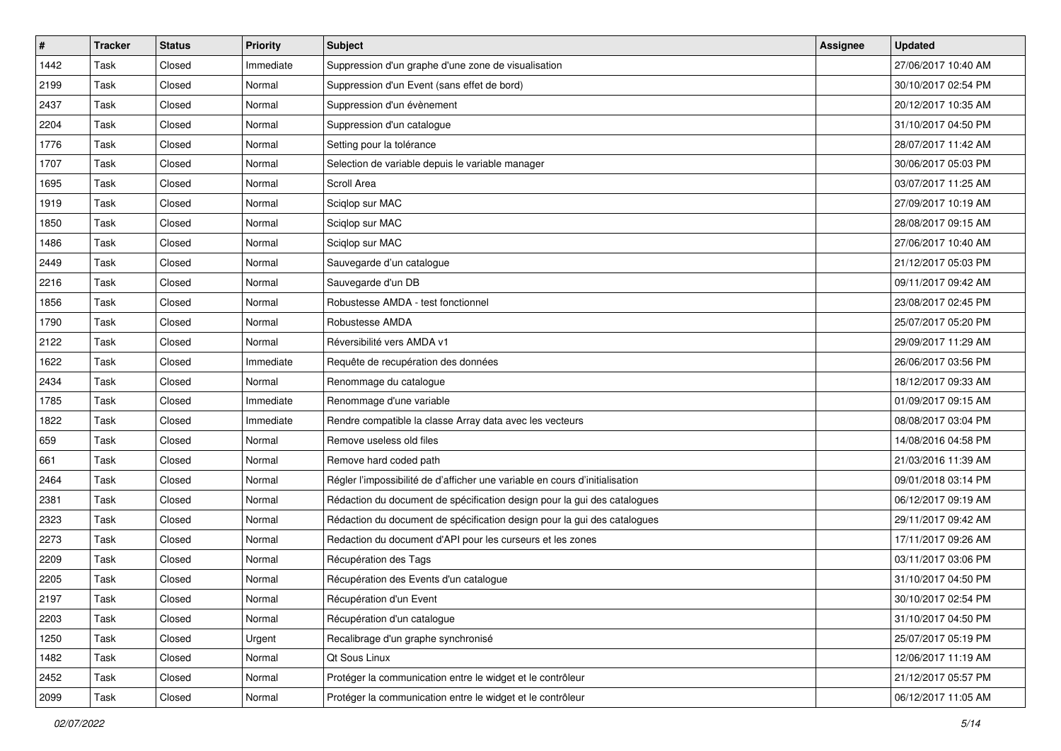| $\vert$ # | <b>Tracker</b> | <b>Status</b> | <b>Priority</b> | Subject                                                                     | <b>Assignee</b> | <b>Updated</b>      |
|-----------|----------------|---------------|-----------------|-----------------------------------------------------------------------------|-----------------|---------------------|
| 1442      | Task           | Closed        | Immediate       | Suppression d'un graphe d'une zone de visualisation                         |                 | 27/06/2017 10:40 AM |
| 2199      | Task           | Closed        | Normal          | Suppression d'un Event (sans effet de bord)                                 |                 | 30/10/2017 02:54 PM |
| 2437      | Task           | Closed        | Normal          | Suppression d'un évènement                                                  |                 | 20/12/2017 10:35 AM |
| 2204      | Task           | Closed        | Normal          | Suppression d'un catalogue                                                  |                 | 31/10/2017 04:50 PM |
| 1776      | Task           | Closed        | Normal          | Setting pour la tolérance                                                   |                 | 28/07/2017 11:42 AM |
| 1707      | Task           | Closed        | Normal          | Selection de variable depuis le variable manager                            |                 | 30/06/2017 05:03 PM |
| 1695      | Task           | Closed        | Normal          | Scroll Area                                                                 |                 | 03/07/2017 11:25 AM |
| 1919      | Task           | Closed        | Normal          | Sciglop sur MAC                                                             |                 | 27/09/2017 10:19 AM |
| 1850      | Task           | Closed        | Normal          | Sciqlop sur MAC                                                             |                 | 28/08/2017 09:15 AM |
| 1486      | Task           | Closed        | Normal          | Sciglop sur MAC                                                             |                 | 27/06/2017 10:40 AM |
| 2449      | Task           | Closed        | Normal          | Sauvegarde d'un catalogue                                                   |                 | 21/12/2017 05:03 PM |
| 2216      | Task           | Closed        | Normal          | Sauvegarde d'un DB                                                          |                 | 09/11/2017 09:42 AM |
| 1856      | Task           | Closed        | Normal          | Robustesse AMDA - test fonctionnel                                          |                 | 23/08/2017 02:45 PM |
| 1790      | Task           | Closed        | Normal          | Robustesse AMDA                                                             |                 | 25/07/2017 05:20 PM |
| 2122      | Task           | Closed        | Normal          | Réversibilité vers AMDA v1                                                  |                 | 29/09/2017 11:29 AM |
| 1622      | Task           | Closed        | Immediate       | Requête de recupération des données                                         |                 | 26/06/2017 03:56 PM |
| 2434      | Task           | Closed        | Normal          | Renommage du catalogue                                                      |                 | 18/12/2017 09:33 AM |
| 1785      | Task           | Closed        | Immediate       | Renommage d'une variable                                                    |                 | 01/09/2017 09:15 AM |
| 1822      | Task           | Closed        | Immediate       | Rendre compatible la classe Array data avec les vecteurs                    |                 | 08/08/2017 03:04 PM |
| 659       | Task           | Closed        | Normal          | Remove useless old files                                                    |                 | 14/08/2016 04:58 PM |
| 661       | Task           | Closed        | Normal          | Remove hard coded path                                                      |                 | 21/03/2016 11:39 AM |
| 2464      | Task           | Closed        | Normal          | Régler l'impossibilité de d'afficher une variable en cours d'initialisation |                 | 09/01/2018 03:14 PM |
| 2381      | Task           | Closed        | Normal          | Rédaction du document de spécification design pour la gui des catalogues    |                 | 06/12/2017 09:19 AM |
| 2323      | Task           | Closed        | Normal          | Rédaction du document de spécification design pour la gui des catalogues    |                 | 29/11/2017 09:42 AM |
| 2273      | Task           | Closed        | Normal          | Redaction du document d'API pour les curseurs et les zones                  |                 | 17/11/2017 09:26 AM |
| 2209      | Task           | Closed        | Normal          | Récupération des Tags                                                       |                 | 03/11/2017 03:06 PM |
| 2205      | Task           | Closed        | Normal          | Récupération des Events d'un catalogue                                      |                 | 31/10/2017 04:50 PM |
| 2197      | Task           | Closed        | Normal          | Récupération d'un Event                                                     |                 | 30/10/2017 02:54 PM |
| 2203      | Task           | Closed        | Normal          | Récupération d'un cataloque                                                 |                 | 31/10/2017 04:50 PM |
| 1250      | Task           | Closed        | Urgent          | Recalibrage d'un graphe synchronisé                                         |                 | 25/07/2017 05:19 PM |
| 1482      | Task           | Closed        | Normal          | Qt Sous Linux                                                               |                 | 12/06/2017 11:19 AM |
| 2452      | Task           | Closed        | Normal          | Protéger la communication entre le widget et le contrôleur                  |                 | 21/12/2017 05:57 PM |
| 2099      | Task           | Closed        | Normal          | Protéger la communication entre le widget et le contrôleur                  |                 | 06/12/2017 11:05 AM |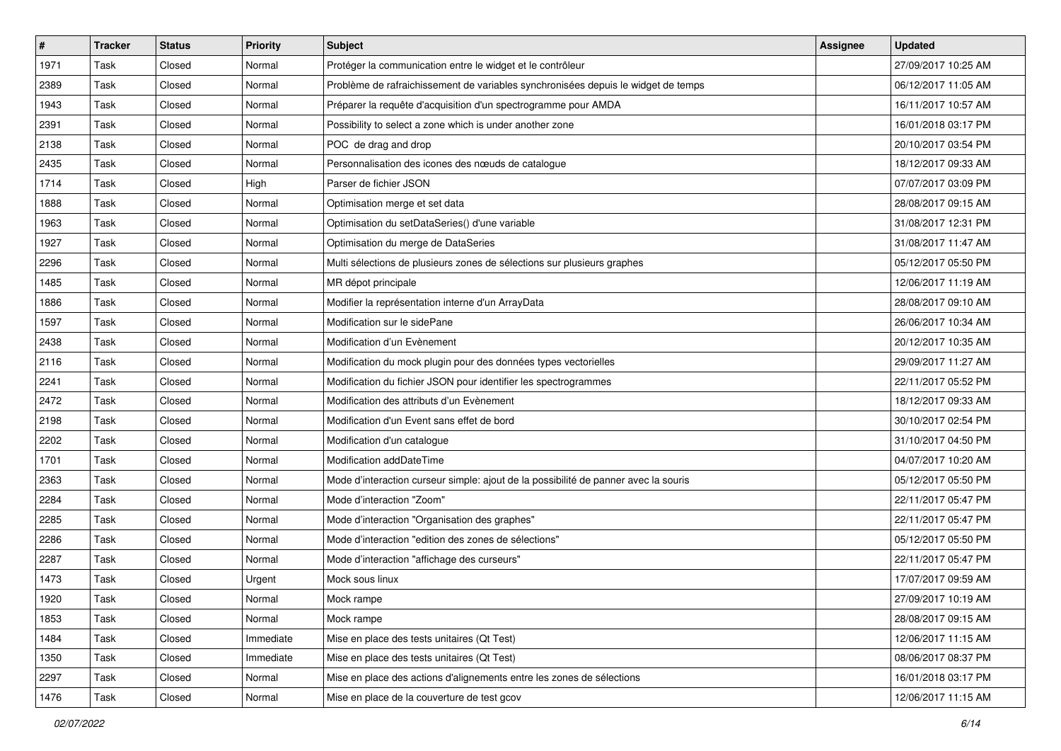| #    | <b>Tracker</b> | <b>Status</b> | <b>Priority</b> | <b>Subject</b>                                                                      | Assignee | <b>Updated</b>      |
|------|----------------|---------------|-----------------|-------------------------------------------------------------------------------------|----------|---------------------|
| 1971 | Task           | Closed        | Normal          | Protéger la communication entre le widget et le contrôleur                          |          | 27/09/2017 10:25 AM |
| 2389 | Task           | Closed        | Normal          | Problème de rafraichissement de variables synchronisées depuis le widget de temps   |          | 06/12/2017 11:05 AM |
| 1943 | Task           | Closed        | Normal          | Préparer la requête d'acquisition d'un spectrogramme pour AMDA                      |          | 16/11/2017 10:57 AM |
| 2391 | Task           | Closed        | Normal          | Possibility to select a zone which is under another zone                            |          | 16/01/2018 03:17 PM |
| 2138 | Task           | Closed        | Normal          | POC de drag and drop                                                                |          | 20/10/2017 03:54 PM |
| 2435 | Task           | Closed        | Normal          | Personnalisation des icones des nœuds de cataloque                                  |          | 18/12/2017 09:33 AM |
| 1714 | Task           | Closed        | High            | Parser de fichier JSON                                                              |          | 07/07/2017 03:09 PM |
| 1888 | Task           | Closed        | Normal          | Optimisation merge et set data                                                      |          | 28/08/2017 09:15 AM |
| 1963 | Task           | Closed        | Normal          | Optimisation du setDataSeries() d'une variable                                      |          | 31/08/2017 12:31 PM |
| 1927 | Task           | Closed        | Normal          | Optimisation du merge de DataSeries                                                 |          | 31/08/2017 11:47 AM |
| 2296 | Task           | Closed        | Normal          | Multi sélections de plusieurs zones de sélections sur plusieurs graphes             |          | 05/12/2017 05:50 PM |
| 1485 | Task           | Closed        | Normal          | MR dépot principale                                                                 |          | 12/06/2017 11:19 AM |
| 1886 | Task           | Closed        | Normal          | Modifier la représentation interne d'un ArrayData                                   |          | 28/08/2017 09:10 AM |
| 1597 | Task           | Closed        | Normal          | Modification sur le sidePane                                                        |          | 26/06/2017 10:34 AM |
| 2438 | Task           | Closed        | Normal          | Modification d'un Evènement                                                         |          | 20/12/2017 10:35 AM |
| 2116 | Task           | Closed        | Normal          | Modification du mock plugin pour des données types vectorielles                     |          | 29/09/2017 11:27 AM |
| 2241 | Task           | Closed        | Normal          | Modification du fichier JSON pour identifier les spectrogrammes                     |          | 22/11/2017 05:52 PM |
| 2472 | Task           | Closed        | Normal          | Modification des attributs d'un Evènement                                           |          | 18/12/2017 09:33 AM |
| 2198 | Task           | Closed        | Normal          | Modification d'un Event sans effet de bord                                          |          | 30/10/2017 02:54 PM |
| 2202 | Task           | Closed        | Normal          | Modification d'un catalogue                                                         |          | 31/10/2017 04:50 PM |
| 1701 | Task           | Closed        | Normal          | Modification addDateTime                                                            |          | 04/07/2017 10:20 AM |
| 2363 | Task           | Closed        | Normal          | Mode d'interaction curseur simple: ajout de la possibilité de panner avec la souris |          | 05/12/2017 05:50 PM |
| 2284 | Task           | Closed        | Normal          | Mode d'interaction "Zoom"                                                           |          | 22/11/2017 05:47 PM |
| 2285 | Task           | Closed        | Normal          | Mode d'interaction "Organisation des graphes"                                       |          | 22/11/2017 05:47 PM |
| 2286 | Task           | Closed        | Normal          | Mode d'interaction "edition des zones de sélections"                                |          | 05/12/2017 05:50 PM |
| 2287 | Task           | Closed        | Normal          | Mode d'interaction "affichage des curseurs"                                         |          | 22/11/2017 05:47 PM |
| 1473 | Task           | Closed        | Urgent          | Mock sous linux                                                                     |          | 17/07/2017 09:59 AM |
| 1920 | Task           | Closed        | Normal          | Mock rampe                                                                          |          | 27/09/2017 10:19 AM |
| 1853 | Task           | Closed        | Normal          | Mock rampe                                                                          |          | 28/08/2017 09:15 AM |
| 1484 | Task           | Closed        | Immediate       | Mise en place des tests unitaires (Qt Test)                                         |          | 12/06/2017 11:15 AM |
| 1350 | Task           | Closed        | Immediate       | Mise en place des tests unitaires (Qt Test)                                         |          | 08/06/2017 08:37 PM |
| 2297 | Task           | Closed        | Normal          | Mise en place des actions d'alignements entre les zones de sélections               |          | 16/01/2018 03:17 PM |
| 1476 | Task           | Closed        | Normal          | Mise en place de la couverture de test gcov                                         |          | 12/06/2017 11:15 AM |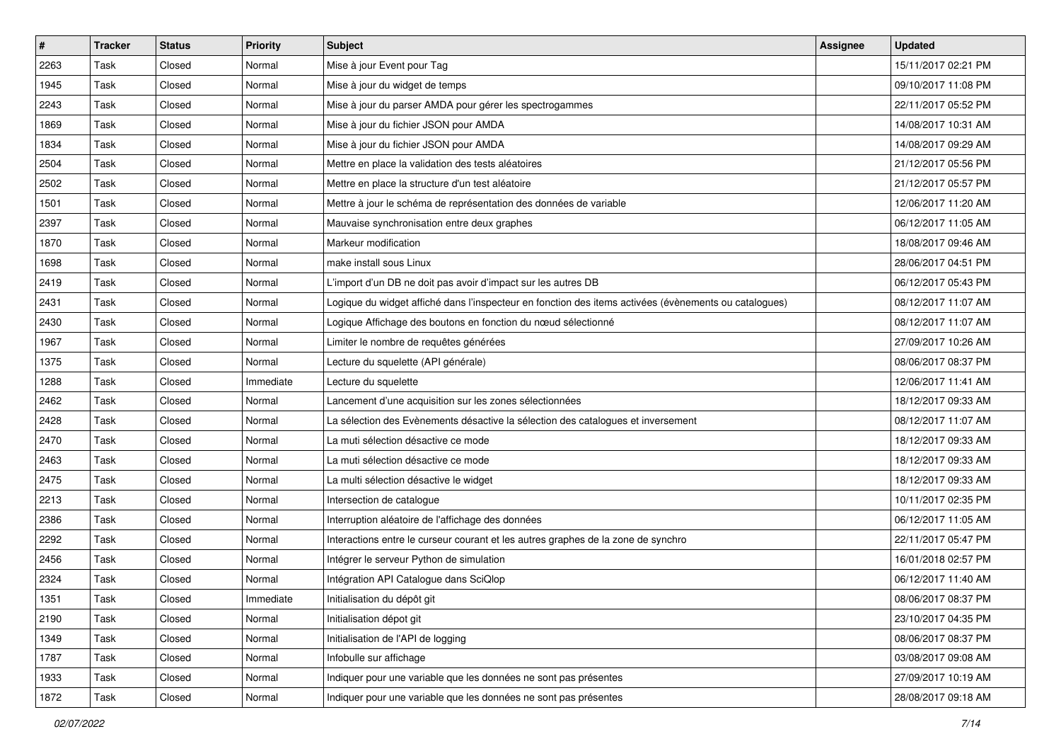| #    | <b>Tracker</b> | <b>Status</b> | <b>Priority</b> | <b>Subject</b>                                                                                        | <b>Assignee</b> | <b>Updated</b>      |
|------|----------------|---------------|-----------------|-------------------------------------------------------------------------------------------------------|-----------------|---------------------|
| 2263 | Task           | Closed        | Normal          | Mise à jour Event pour Tag                                                                            |                 | 15/11/2017 02:21 PM |
| 1945 | Task           | Closed        | Normal          | Mise à jour du widget de temps                                                                        |                 | 09/10/2017 11:08 PM |
| 2243 | Task           | Closed        | Normal          | Mise à jour du parser AMDA pour gérer les spectrogammes                                               |                 | 22/11/2017 05:52 PM |
| 1869 | Task           | Closed        | Normal          | Mise à jour du fichier JSON pour AMDA                                                                 |                 | 14/08/2017 10:31 AM |
| 1834 | Task           | Closed        | Normal          | Mise à jour du fichier JSON pour AMDA                                                                 |                 | 14/08/2017 09:29 AM |
| 2504 | Task           | Closed        | Normal          | Mettre en place la validation des tests aléatoires                                                    |                 | 21/12/2017 05:56 PM |
| 2502 | Task           | Closed        | Normal          | Mettre en place la structure d'un test aléatoire                                                      |                 | 21/12/2017 05:57 PM |
| 1501 | Task           | Closed        | Normal          | Mettre à jour le schéma de représentation des données de variable                                     |                 | 12/06/2017 11:20 AM |
| 2397 | Task           | Closed        | Normal          | Mauvaise synchronisation entre deux graphes                                                           |                 | 06/12/2017 11:05 AM |
| 1870 | Task           | Closed        | Normal          | Markeur modification                                                                                  |                 | 18/08/2017 09:46 AM |
| 1698 | Task           | Closed        | Normal          | make install sous Linux                                                                               |                 | 28/06/2017 04:51 PM |
| 2419 | Task           | Closed        | Normal          | L'import d'un DB ne doit pas avoir d'impact sur les autres DB                                         |                 | 06/12/2017 05:43 PM |
| 2431 | Task           | Closed        | Normal          | Logique du widget affiché dans l'inspecteur en fonction des items activées (évènements ou catalogues) |                 | 08/12/2017 11:07 AM |
| 2430 | Task           | Closed        | Normal          | Logique Affichage des boutons en fonction du nœud sélectionné                                         |                 | 08/12/2017 11:07 AM |
| 1967 | Task           | Closed        | Normal          | Limiter le nombre de requêtes générées                                                                |                 | 27/09/2017 10:26 AM |
| 1375 | Task           | Closed        | Normal          | Lecture du squelette (API générale)                                                                   |                 | 08/06/2017 08:37 PM |
| 1288 | Task           | Closed        | Immediate       | Lecture du squelette                                                                                  |                 | 12/06/2017 11:41 AM |
| 2462 | Task           | Closed        | Normal          | Lancement d'une acquisition sur les zones sélectionnées                                               |                 | 18/12/2017 09:33 AM |
| 2428 | Task           | Closed        | Normal          | La sélection des Evènements désactive la sélection des catalogues et inversement                      |                 | 08/12/2017 11:07 AM |
| 2470 | Task           | Closed        | Normal          | La muti sélection désactive ce mode                                                                   |                 | 18/12/2017 09:33 AM |
| 2463 | Task           | Closed        | Normal          | La muti sélection désactive ce mode                                                                   |                 | 18/12/2017 09:33 AM |
| 2475 | Task           | Closed        | Normal          | La multi sélection désactive le widget                                                                |                 | 18/12/2017 09:33 AM |
| 2213 | Task           | Closed        | Normal          | Intersection de catalogue                                                                             |                 | 10/11/2017 02:35 PM |
| 2386 | Task           | Closed        | Normal          | Interruption aléatoire de l'affichage des données                                                     |                 | 06/12/2017 11:05 AM |
| 2292 | Task           | Closed        | Normal          | Interactions entre le curseur courant et les autres graphes de la zone de synchro                     |                 | 22/11/2017 05:47 PM |
| 2456 | Task           | Closed        | Normal          | Intégrer le serveur Python de simulation                                                              |                 | 16/01/2018 02:57 PM |
| 2324 | Task           | Closed        | Normal          | Intégration API Catalogue dans SciQlop                                                                |                 | 06/12/2017 11:40 AM |
| 1351 | Task           | Closed        | Immediate       | Initialisation du dépôt git                                                                           |                 | 08/06/2017 08:37 PM |
| 2190 | Task           | Closed        | Normal          | Initialisation dépot git                                                                              |                 | 23/10/2017 04:35 PM |
| 1349 | Task           | Closed        | Normal          | Initialisation de l'API de logging                                                                    |                 | 08/06/2017 08:37 PM |
| 1787 | Task           | Closed        | Normal          | Infobulle sur affichage                                                                               |                 | 03/08/2017 09:08 AM |
| 1933 | Task           | Closed        | Normal          | Indiquer pour une variable que les données ne sont pas présentes                                      |                 | 27/09/2017 10:19 AM |
| 1872 | Task           | Closed        | Normal          | Indiquer pour une variable que les données ne sont pas présentes                                      |                 | 28/08/2017 09:18 AM |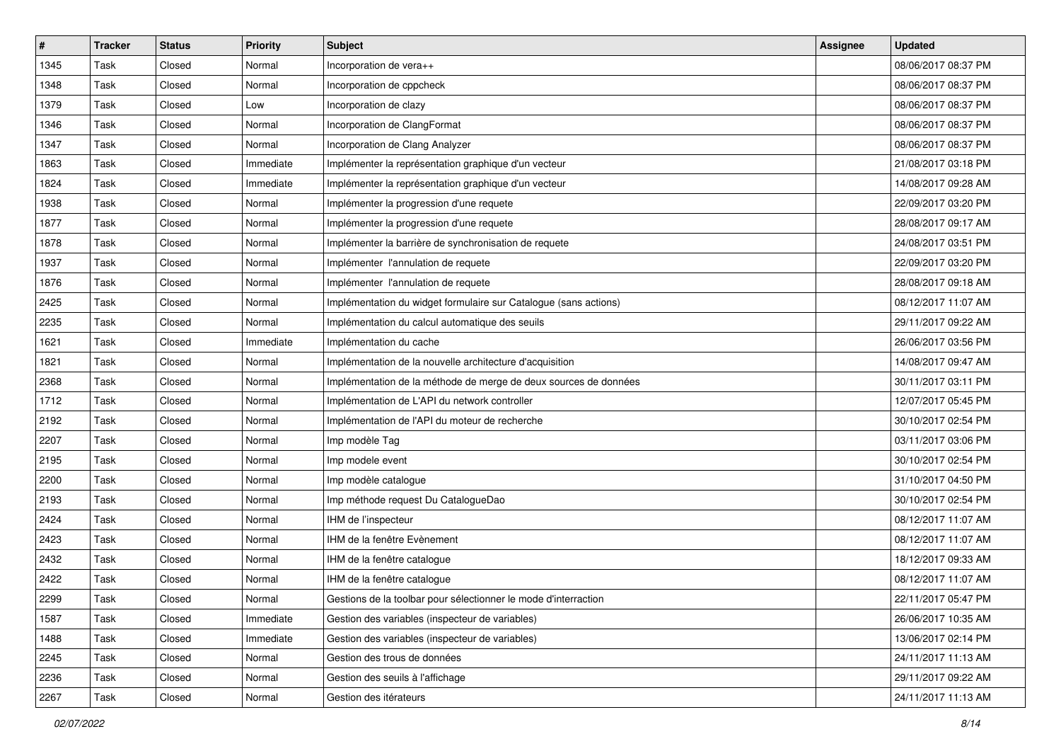| $\vert$ # | <b>Tracker</b> | <b>Status</b> | <b>Priority</b> | <b>Subject</b>                                                   | <b>Assignee</b> | <b>Updated</b>      |
|-----------|----------------|---------------|-----------------|------------------------------------------------------------------|-----------------|---------------------|
| 1345      | Task           | Closed        | Normal          | Incorporation de vera++                                          |                 | 08/06/2017 08:37 PM |
| 1348      | Task           | Closed        | Normal          | Incorporation de cppcheck                                        |                 | 08/06/2017 08:37 PM |
| 1379      | Task           | Closed        | Low             | Incorporation de clazy                                           |                 | 08/06/2017 08:37 PM |
| 1346      | Task           | Closed        | Normal          | Incorporation de ClangFormat                                     |                 | 08/06/2017 08:37 PM |
| 1347      | Task           | Closed        | Normal          | Incorporation de Clang Analyzer                                  |                 | 08/06/2017 08:37 PM |
| 1863      | Task           | Closed        | Immediate       | Implémenter la représentation graphique d'un vecteur             |                 | 21/08/2017 03:18 PM |
| 1824      | Task           | Closed        | Immediate       | Implémenter la représentation graphique d'un vecteur             |                 | 14/08/2017 09:28 AM |
| 1938      | Task           | Closed        | Normal          | Implémenter la progression d'une requete                         |                 | 22/09/2017 03:20 PM |
| 1877      | Task           | Closed        | Normal          | Implémenter la progression d'une requete                         |                 | 28/08/2017 09:17 AM |
| 1878      | Task           | Closed        | Normal          | Implémenter la barrière de synchronisation de requete            |                 | 24/08/2017 03:51 PM |
| 1937      | Task           | Closed        | Normal          | Implémenter l'annulation de requete                              |                 | 22/09/2017 03:20 PM |
| 1876      | Task           | Closed        | Normal          | Implémenter l'annulation de requete                              |                 | 28/08/2017 09:18 AM |
| 2425      | Task           | Closed        | Normal          | Implémentation du widget formulaire sur Catalogue (sans actions) |                 | 08/12/2017 11:07 AM |
| 2235      | Task           | Closed        | Normal          | Implémentation du calcul automatique des seuils                  |                 | 29/11/2017 09:22 AM |
| 1621      | Task           | Closed        | Immediate       | Implémentation du cache                                          |                 | 26/06/2017 03:56 PM |
| 1821      | Task           | Closed        | Normal          | Implémentation de la nouvelle architecture d'acquisition         |                 | 14/08/2017 09:47 AM |
| 2368      | Task           | Closed        | Normal          | Implémentation de la méthode de merge de deux sources de données |                 | 30/11/2017 03:11 PM |
| 1712      | Task           | Closed        | Normal          | Implémentation de L'API du network controller                    |                 | 12/07/2017 05:45 PM |
| 2192      | Task           | Closed        | Normal          | Implémentation de l'API du moteur de recherche                   |                 | 30/10/2017 02:54 PM |
| 2207      | Task           | Closed        | Normal          | Imp modèle Tag                                                   |                 | 03/11/2017 03:06 PM |
| 2195      | Task           | Closed        | Normal          | Imp modele event                                                 |                 | 30/10/2017 02:54 PM |
| 2200      | Task           | Closed        | Normal          | Imp modèle catalogue                                             |                 | 31/10/2017 04:50 PM |
| 2193      | Task           | Closed        | Normal          | Imp méthode request Du CatalogueDao                              |                 | 30/10/2017 02:54 PM |
| 2424      | Task           | Closed        | Normal          | IHM de l'inspecteur                                              |                 | 08/12/2017 11:07 AM |
| 2423      | Task           | Closed        | Normal          | IHM de la fenêtre Evènement                                      |                 | 08/12/2017 11:07 AM |
| 2432      | Task           | Closed        | Normal          | IHM de la fenêtre catalogue                                      |                 | 18/12/2017 09:33 AM |
| 2422      | Task           | Closed        | Normal          | IHM de la fenêtre catalogue                                      |                 | 08/12/2017 11:07 AM |
| 2299      | Task           | Closed        | Normal          | Gestions de la toolbar pour sélectionner le mode d'interraction  |                 | 22/11/2017 05:47 PM |
| 1587      | Task           | Closed        | Immediate       | Gestion des variables (inspecteur de variables)                  |                 | 26/06/2017 10:35 AM |
| 1488      | Task           | Closed        | Immediate       | Gestion des variables (inspecteur de variables)                  |                 | 13/06/2017 02:14 PM |
| 2245      | Task           | Closed        | Normal          | Gestion des trous de données                                     |                 | 24/11/2017 11:13 AM |
| 2236      | Task           | Closed        | Normal          | Gestion des seuils à l'affichage                                 |                 | 29/11/2017 09:22 AM |
| 2267      | Task           | Closed        | Normal          | Gestion des itérateurs                                           |                 | 24/11/2017 11:13 AM |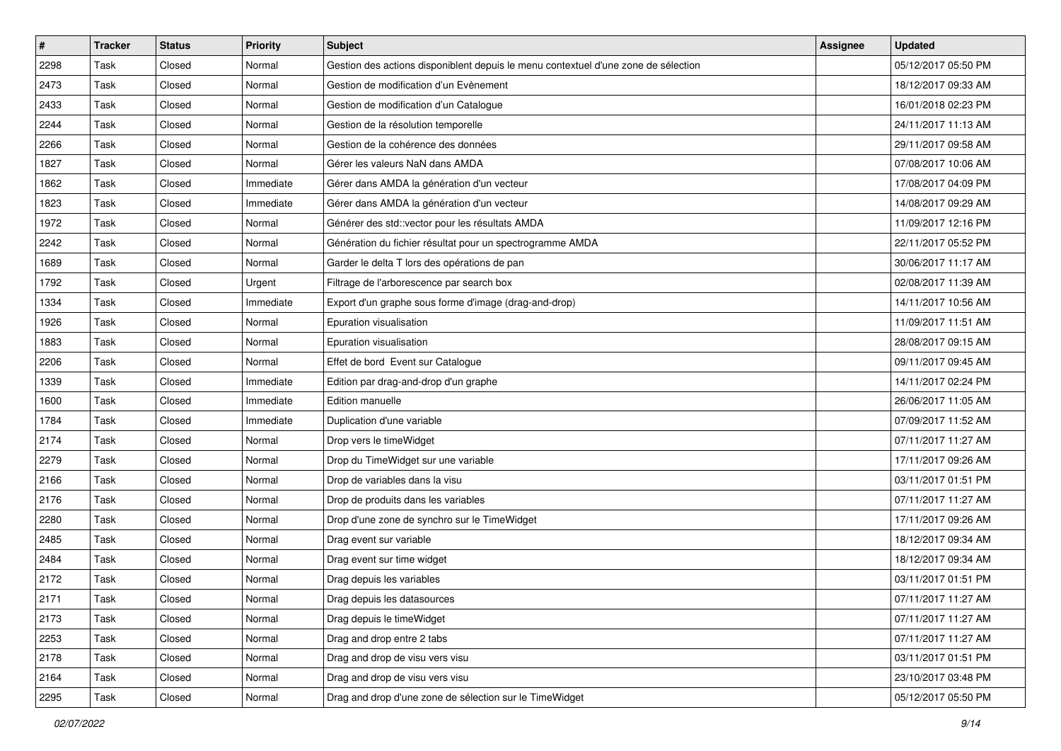| #    | <b>Tracker</b> | <b>Status</b> | <b>Priority</b> | <b>Subject</b>                                                                     | <b>Assignee</b> | <b>Updated</b>      |
|------|----------------|---------------|-----------------|------------------------------------------------------------------------------------|-----------------|---------------------|
| 2298 | Task           | Closed        | Normal          | Gestion des actions disponiblent depuis le menu contextuel d'une zone de sélection |                 | 05/12/2017 05:50 PM |
| 2473 | Task           | Closed        | Normal          | Gestion de modification d'un Evènement                                             |                 | 18/12/2017 09:33 AM |
| 2433 | Task           | Closed        | Normal          | Gestion de modification d'un Catalogue                                             |                 | 16/01/2018 02:23 PM |
| 2244 | Task           | Closed        | Normal          | Gestion de la résolution temporelle                                                |                 | 24/11/2017 11:13 AM |
| 2266 | Task           | Closed        | Normal          | Gestion de la cohérence des données                                                |                 | 29/11/2017 09:58 AM |
| 1827 | Task           | Closed        | Normal          | Gérer les valeurs NaN dans AMDA                                                    |                 | 07/08/2017 10:06 AM |
| 1862 | Task           | Closed        | Immediate       | Gérer dans AMDA la génération d'un vecteur                                         |                 | 17/08/2017 04:09 PM |
| 1823 | Task           | Closed        | Immediate       | Gérer dans AMDA la génération d'un vecteur                                         |                 | 14/08/2017 09:29 AM |
| 1972 | Task           | Closed        | Normal          | Générer des std::vector pour les résultats AMDA                                    |                 | 11/09/2017 12:16 PM |
| 2242 | Task           | Closed        | Normal          | Génération du fichier résultat pour un spectrogramme AMDA                          |                 | 22/11/2017 05:52 PM |
| 1689 | Task           | Closed        | Normal          | Garder le delta T lors des opérations de pan                                       |                 | 30/06/2017 11:17 AM |
| 1792 | Task           | Closed        | Urgent          | Filtrage de l'arborescence par search box                                          |                 | 02/08/2017 11:39 AM |
| 1334 | Task           | Closed        | Immediate       | Export d'un graphe sous forme d'image (drag-and-drop)                              |                 | 14/11/2017 10:56 AM |
| 1926 | Task           | Closed        | Normal          | Epuration visualisation                                                            |                 | 11/09/2017 11:51 AM |
| 1883 | Task           | Closed        | Normal          | Epuration visualisation                                                            |                 | 28/08/2017 09:15 AM |
| 2206 | Task           | Closed        | Normal          | Effet de bord Event sur Catalogue                                                  |                 | 09/11/2017 09:45 AM |
| 1339 | Task           | Closed        | Immediate       | Edition par drag-and-drop d'un graphe                                              |                 | 14/11/2017 02:24 PM |
| 1600 | Task           | Closed        | Immediate       | <b>Edition manuelle</b>                                                            |                 | 26/06/2017 11:05 AM |
| 1784 | Task           | Closed        | Immediate       | Duplication d'une variable                                                         |                 | 07/09/2017 11:52 AM |
| 2174 | Task           | Closed        | Normal          | Drop vers le timeWidget                                                            |                 | 07/11/2017 11:27 AM |
| 2279 | Task           | Closed        | Normal          | Drop du TimeWidget sur une variable                                                |                 | 17/11/2017 09:26 AM |
| 2166 | Task           | Closed        | Normal          | Drop de variables dans la visu                                                     |                 | 03/11/2017 01:51 PM |
| 2176 | Task           | Closed        | Normal          | Drop de produits dans les variables                                                |                 | 07/11/2017 11:27 AM |
| 2280 | Task           | Closed        | Normal          | Drop d'une zone de synchro sur le TimeWidget                                       |                 | 17/11/2017 09:26 AM |
| 2485 | Task           | Closed        | Normal          | Drag event sur variable                                                            |                 | 18/12/2017 09:34 AM |
| 2484 | Task           | Closed        | Normal          | Drag event sur time widget                                                         |                 | 18/12/2017 09:34 AM |
| 2172 | Task           | Closed        | Normal          | Drag depuis les variables                                                          |                 | 03/11/2017 01:51 PM |
| 2171 | Task           | Closed        | Normal          | Drag depuis les datasources                                                        |                 | 07/11/2017 11:27 AM |
| 2173 | Task           | Closed        | Normal          | Drag depuis le time Widget                                                         |                 | 07/11/2017 11:27 AM |
| 2253 | Task           | Closed        | Normal          | Drag and drop entre 2 tabs                                                         |                 | 07/11/2017 11:27 AM |
| 2178 | Task           | Closed        | Normal          | Drag and drop de visu vers visu                                                    |                 | 03/11/2017 01:51 PM |
| 2164 | Task           | Closed        | Normal          | Drag and drop de visu vers visu                                                    |                 | 23/10/2017 03:48 PM |
| 2295 | Task           | Closed        | Normal          | Drag and drop d'une zone de sélection sur le TimeWidget                            |                 | 05/12/2017 05:50 PM |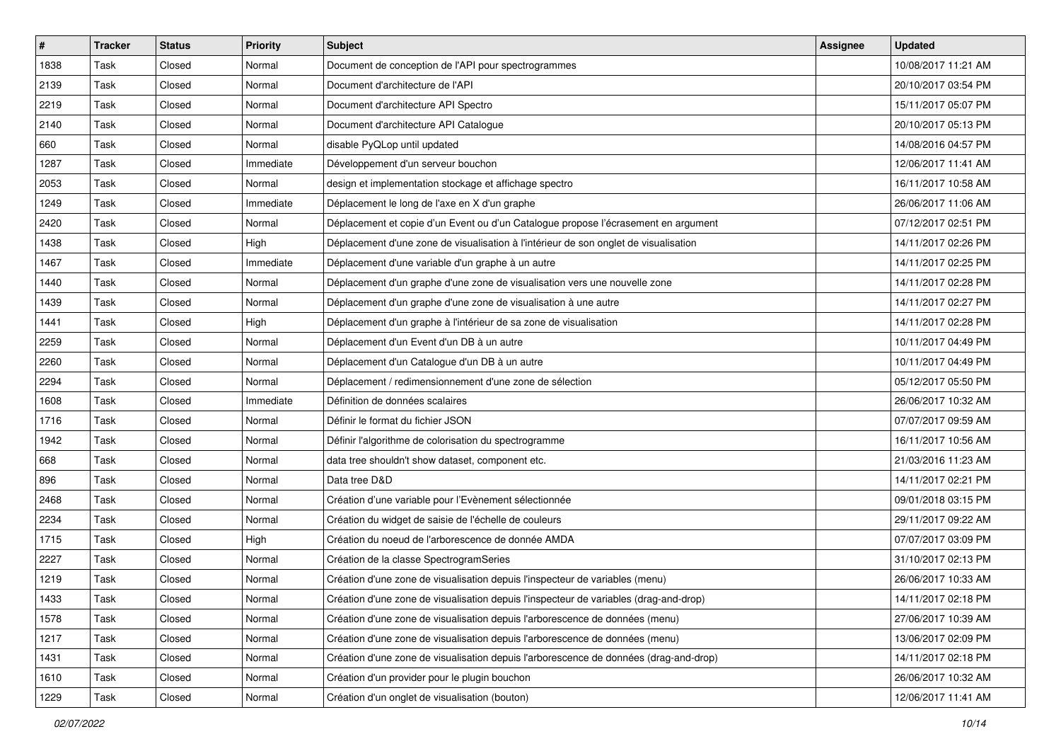| $\vert$ # | <b>Tracker</b> | <b>Status</b> | <b>Priority</b> | <b>Subject</b>                                                                        | Assignee | <b>Updated</b>      |
|-----------|----------------|---------------|-----------------|---------------------------------------------------------------------------------------|----------|---------------------|
| 1838      | Task           | Closed        | Normal          | Document de conception de l'API pour spectrogrammes                                   |          | 10/08/2017 11:21 AM |
| 2139      | Task           | Closed        | Normal          | Document d'architecture de l'API                                                      |          | 20/10/2017 03:54 PM |
| 2219      | Task           | Closed        | Normal          | Document d'architecture API Spectro                                                   |          | 15/11/2017 05:07 PM |
| 2140      | Task           | Closed        | Normal          | Document d'architecture API Catalogue                                                 |          | 20/10/2017 05:13 PM |
| 660       | Task           | Closed        | Normal          | disable PyQLop until updated                                                          |          | 14/08/2016 04:57 PM |
| 1287      | Task           | Closed        | Immediate       | Développement d'un serveur bouchon                                                    |          | 12/06/2017 11:41 AM |
| 2053      | Task           | Closed        | Normal          | design et implementation stockage et affichage spectro                                |          | 16/11/2017 10:58 AM |
| 1249      | Task           | Closed        | Immediate       | Déplacement le long de l'axe en X d'un graphe                                         |          | 26/06/2017 11:06 AM |
| 2420      | Task           | Closed        | Normal          | Déplacement et copie d'un Event ou d'un Catalogue propose l'écrasement en argument    |          | 07/12/2017 02:51 PM |
| 1438      | Task           | Closed        | High            | Déplacement d'une zone de visualisation à l'intérieur de son onglet de visualisation  |          | 14/11/2017 02:26 PM |
| 1467      | Task           | Closed        | Immediate       | Déplacement d'une variable d'un graphe à un autre                                     |          | 14/11/2017 02:25 PM |
| 1440      | Task           | Closed        | Normal          | Déplacement d'un graphe d'une zone de visualisation vers une nouvelle zone            |          | 14/11/2017 02:28 PM |
| 1439      | Task           | Closed        | Normal          | Déplacement d'un graphe d'une zone de visualisation à une autre                       |          | 14/11/2017 02:27 PM |
| 1441      | Task           | Closed        | High            | Déplacement d'un graphe à l'intérieur de sa zone de visualisation                     |          | 14/11/2017 02:28 PM |
| 2259      | Task           | Closed        | Normal          | Déplacement d'un Event d'un DB à un autre                                             |          | 10/11/2017 04:49 PM |
| 2260      | Task           | Closed        | Normal          | Déplacement d'un Catalogue d'un DB à un autre                                         |          | 10/11/2017 04:49 PM |
| 2294      | Task           | Closed        | Normal          | Déplacement / redimensionnement d'une zone de sélection                               |          | 05/12/2017 05:50 PM |
| 1608      | Task           | Closed        | Immediate       | Définition de données scalaires                                                       |          | 26/06/2017 10:32 AM |
| 1716      | Task           | Closed        | Normal          | Définir le format du fichier JSON                                                     |          | 07/07/2017 09:59 AM |
| 1942      | Task           | Closed        | Normal          | Définir l'algorithme de colorisation du spectrogramme                                 |          | 16/11/2017 10:56 AM |
| 668       | Task           | Closed        | Normal          | data tree shouldn't show dataset, component etc.                                      |          | 21/03/2016 11:23 AM |
| 896       | Task           | Closed        | Normal          | Data tree D&D                                                                         |          | 14/11/2017 02:21 PM |
| 2468      | Task           | Closed        | Normal          | Création d'une variable pour l'Evènement sélectionnée                                 |          | 09/01/2018 03:15 PM |
| 2234      | Task           | Closed        | Normal          | Création du widget de saisie de l'échelle de couleurs                                 |          | 29/11/2017 09:22 AM |
| 1715      | Task           | Closed        | High            | Création du noeud de l'arborescence de donnée AMDA                                    |          | 07/07/2017 03:09 PM |
| 2227      | Task           | Closed        | Normal          | Création de la classe SpectrogramSeries                                               |          | 31/10/2017 02:13 PM |
| 1219      | Task           | Closed        | Normal          | Création d'une zone de visualisation depuis l'inspecteur de variables (menu)          |          | 26/06/2017 10:33 AM |
| 1433      | Task           | Closed        | Normal          | Création d'une zone de visualisation depuis l'inspecteur de variables (drag-and-drop) |          | 14/11/2017 02:18 PM |
| 1578      | Task           | Closed        | Normal          | Création d'une zone de visualisation depuis l'arborescence de données (menu)          |          | 27/06/2017 10:39 AM |
| 1217      | Task           | Closed        | Normal          | Création d'une zone de visualisation depuis l'arborescence de données (menu)          |          | 13/06/2017 02:09 PM |
| 1431      | Task           | Closed        | Normal          | Création d'une zone de visualisation depuis l'arborescence de données (drag-and-drop) |          | 14/11/2017 02:18 PM |
| 1610      | Task           | Closed        | Normal          | Création d'un provider pour le plugin bouchon                                         |          | 26/06/2017 10:32 AM |
| 1229      | Task           | Closed        | Normal          | Création d'un onglet de visualisation (bouton)                                        |          | 12/06/2017 11:41 AM |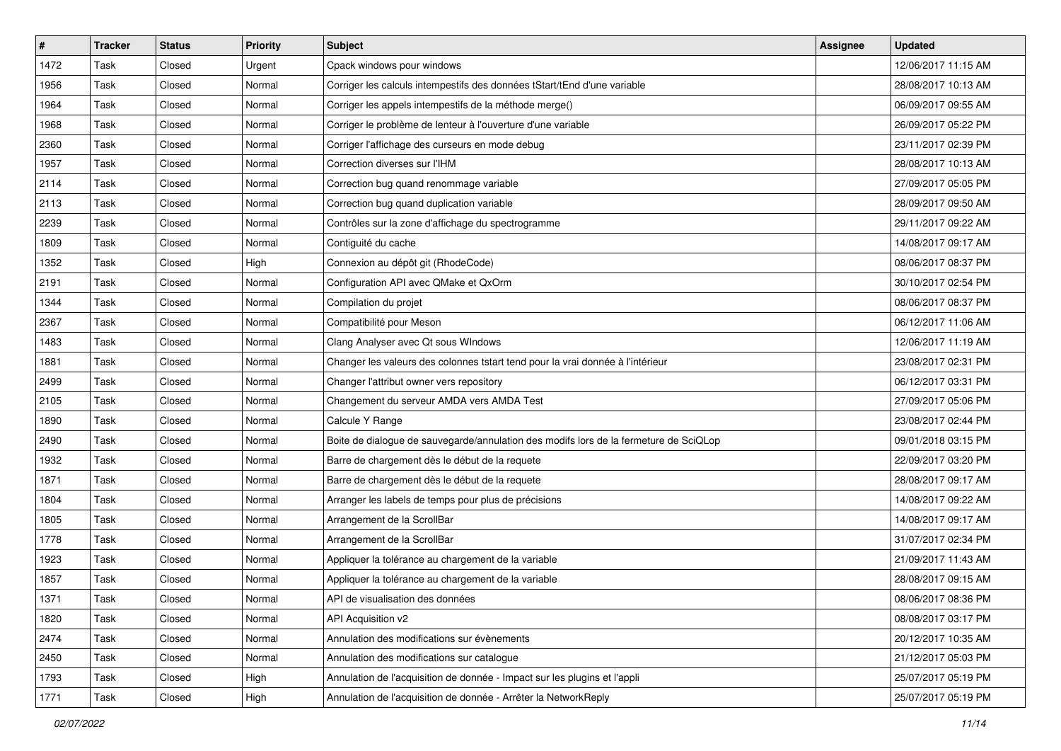| $\vert$ # | <b>Tracker</b> | <b>Status</b> | <b>Priority</b> | <b>Subject</b>                                                                        | <b>Assignee</b> | <b>Updated</b>      |
|-----------|----------------|---------------|-----------------|---------------------------------------------------------------------------------------|-----------------|---------------------|
| 1472      | Task           | Closed        | Urgent          | Cpack windows pour windows                                                            |                 | 12/06/2017 11:15 AM |
| 1956      | Task           | Closed        | Normal          | Corriger les calculs intempestifs des données tStart/tEnd d'une variable              |                 | 28/08/2017 10:13 AM |
| 1964      | Task           | Closed        | Normal          | Corriger les appels intempestifs de la méthode merge()                                |                 | 06/09/2017 09:55 AM |
| 1968      | Task           | Closed        | Normal          | Corriger le problème de lenteur à l'ouverture d'une variable                          |                 | 26/09/2017 05:22 PM |
| 2360      | Task           | Closed        | Normal          | Corriger l'affichage des curseurs en mode debug                                       |                 | 23/11/2017 02:39 PM |
| 1957      | Task           | Closed        | Normal          | Correction diverses sur l'IHM                                                         |                 | 28/08/2017 10:13 AM |
| 2114      | Task           | Closed        | Normal          | Correction bug quand renommage variable                                               |                 | 27/09/2017 05:05 PM |
| 2113      | Task           | Closed        | Normal          | Correction bug quand duplication variable                                             |                 | 28/09/2017 09:50 AM |
| 2239      | Task           | Closed        | Normal          | Contrôles sur la zone d'affichage du spectrogramme                                    |                 | 29/11/2017 09:22 AM |
| 1809      | Task           | Closed        | Normal          | Contiguité du cache                                                                   |                 | 14/08/2017 09:17 AM |
| 1352      | Task           | Closed        | High            | Connexion au dépôt git (RhodeCode)                                                    |                 | 08/06/2017 08:37 PM |
| 2191      | Task           | Closed        | Normal          | Configuration API avec QMake et QxOrm                                                 |                 | 30/10/2017 02:54 PM |
| 1344      | Task           | Closed        | Normal          | Compilation du projet                                                                 |                 | 08/06/2017 08:37 PM |
| 2367      | Task           | Closed        | Normal          | Compatibilité pour Meson                                                              |                 | 06/12/2017 11:06 AM |
| 1483      | Task           | Closed        | Normal          | Clang Analyser avec Qt sous WIndows                                                   |                 | 12/06/2017 11:19 AM |
| 1881      | Task           | Closed        | Normal          | Changer les valeurs des colonnes tstart tend pour la vrai donnée à l'intérieur        |                 | 23/08/2017 02:31 PM |
| 2499      | Task           | Closed        | Normal          | Changer l'attribut owner vers repository                                              |                 | 06/12/2017 03:31 PM |
| 2105      | Task           | Closed        | Normal          | Changement du serveur AMDA vers AMDA Test                                             |                 | 27/09/2017 05:06 PM |
| 1890      | Task           | Closed        | Normal          | Calcule Y Range                                                                       |                 | 23/08/2017 02:44 PM |
| 2490      | Task           | Closed        | Normal          | Boite de dialogue de sauvegarde/annulation des modifs lors de la fermeture de SciQLop |                 | 09/01/2018 03:15 PM |
| 1932      | Task           | Closed        | Normal          | Barre de chargement dès le début de la requete                                        |                 | 22/09/2017 03:20 PM |
| 1871      | Task           | Closed        | Normal          | Barre de chargement dès le début de la requete                                        |                 | 28/08/2017 09:17 AM |
| 1804      | Task           | Closed        | Normal          | Arranger les labels de temps pour plus de précisions                                  |                 | 14/08/2017 09:22 AM |
| 1805      | Task           | Closed        | Normal          | Arrangement de la ScrollBar                                                           |                 | 14/08/2017 09:17 AM |
| 1778      | Task           | Closed        | Normal          | Arrangement de la ScrollBar                                                           |                 | 31/07/2017 02:34 PM |
| 1923      | Task           | Closed        | Normal          | Appliquer la tolérance au chargement de la variable                                   |                 | 21/09/2017 11:43 AM |
| 1857      | Task           | Closed        | Normal          | Appliquer la tolérance au chargement de la variable                                   |                 | 28/08/2017 09:15 AM |
| 1371      | Task           | Closed        | Normal          | API de visualisation des données                                                      |                 | 08/06/2017 08:36 PM |
| 1820      | Task           | Closed        | Normal          | API Acquisition v2                                                                    |                 | 08/08/2017 03:17 PM |
| 2474      | Task           | Closed        | Normal          | Annulation des modifications sur évènements                                           |                 | 20/12/2017 10:35 AM |
| 2450      | Task           | Closed        | Normal          | Annulation des modifications sur catalogue                                            |                 | 21/12/2017 05:03 PM |
| 1793      | Task           | Closed        | High            | Annulation de l'acquisition de donnée - Impact sur les plugins et l'appli             |                 | 25/07/2017 05:19 PM |
| 1771      | Task           | Closed        | High            | Annulation de l'acquisition de donnée - Arrêter la NetworkReply                       |                 | 25/07/2017 05:19 PM |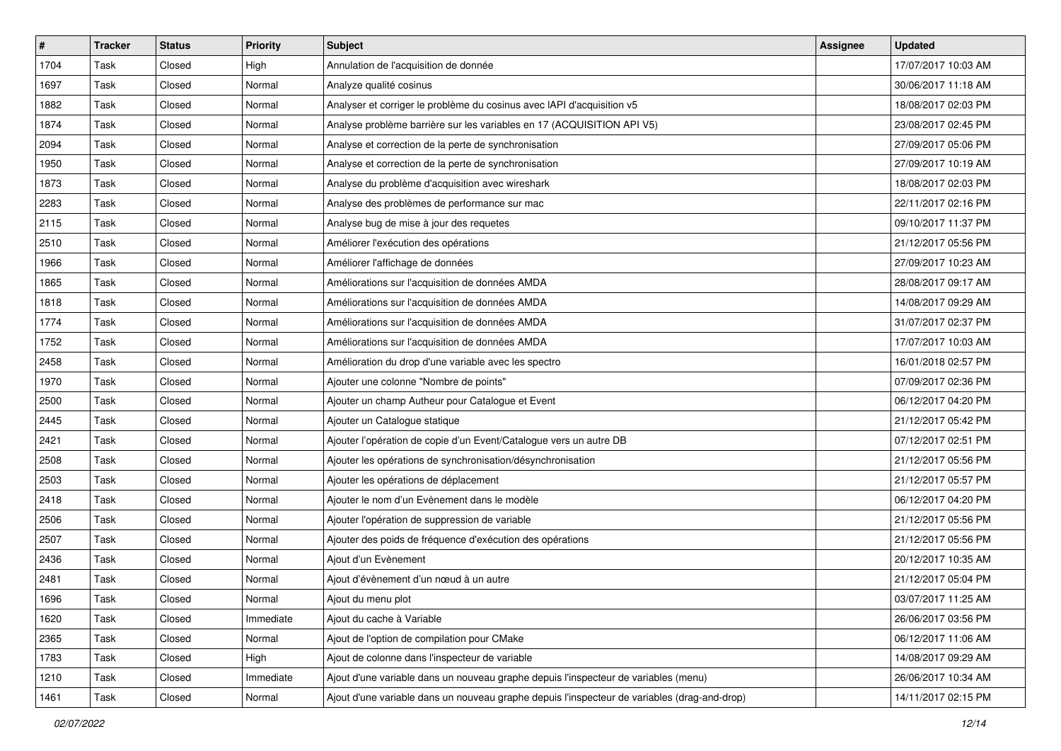| $\vert$ # | <b>Tracker</b> | <b>Status</b> | <b>Priority</b> | <b>Subject</b>                                                                               | <b>Assignee</b> | <b>Updated</b>      |
|-----------|----------------|---------------|-----------------|----------------------------------------------------------------------------------------------|-----------------|---------------------|
| 1704      | Task           | Closed        | High            | Annulation de l'acquisition de donnée                                                        |                 | 17/07/2017 10:03 AM |
| 1697      | Task           | Closed        | Normal          | Analyze qualité cosinus                                                                      |                 | 30/06/2017 11:18 AM |
| 1882      | Task           | Closed        | Normal          | Analyser et corriger le problème du cosinus avec IAPI d'acquisition v5                       |                 | 18/08/2017 02:03 PM |
| 1874      | Task           | Closed        | Normal          | Analyse problème barrière sur les variables en 17 (ACQUISITION API V5)                       |                 | 23/08/2017 02:45 PM |
| 2094      | Task           | Closed        | Normal          | Analyse et correction de la perte de synchronisation                                         |                 | 27/09/2017 05:06 PM |
| 1950      | Task           | Closed        | Normal          | Analyse et correction de la perte de synchronisation                                         |                 | 27/09/2017 10:19 AM |
| 1873      | Task           | Closed        | Normal          | Analyse du problème d'acquisition avec wireshark                                             |                 | 18/08/2017 02:03 PM |
| 2283      | Task           | Closed        | Normal          | Analyse des problèmes de performance sur mac                                                 |                 | 22/11/2017 02:16 PM |
| 2115      | Task           | Closed        | Normal          | Analyse bug de mise à jour des requetes                                                      |                 | 09/10/2017 11:37 PM |
| 2510      | Task           | Closed        | Normal          | Améliorer l'exécution des opérations                                                         |                 | 21/12/2017 05:56 PM |
| 1966      | Task           | Closed        | Normal          | Améliorer l'affichage de données                                                             |                 | 27/09/2017 10:23 AM |
| 1865      | Task           | Closed        | Normal          | Améliorations sur l'acquisition de données AMDA                                              |                 | 28/08/2017 09:17 AM |
| 1818      | Task           | Closed        | Normal          | Améliorations sur l'acquisition de données AMDA                                              |                 | 14/08/2017 09:29 AM |
| 1774      | Task           | Closed        | Normal          | Améliorations sur l'acquisition de données AMDA                                              |                 | 31/07/2017 02:37 PM |
| 1752      | Task           | Closed        | Normal          | Améliorations sur l'acquisition de données AMDA                                              |                 | 17/07/2017 10:03 AM |
| 2458      | Task           | Closed        | Normal          | Amélioration du drop d'une variable avec les spectro                                         |                 | 16/01/2018 02:57 PM |
| 1970      | Task           | Closed        | Normal          | Ajouter une colonne "Nombre de points"                                                       |                 | 07/09/2017 02:36 PM |
| 2500      | Task           | Closed        | Normal          | Ajouter un champ Autheur pour Catalogue et Event                                             |                 | 06/12/2017 04:20 PM |
| 2445      | Task           | Closed        | Normal          | Ajouter un Catalogue statique                                                                |                 | 21/12/2017 05:42 PM |
| 2421      | Task           | Closed        | Normal          | Ajouter l'opération de copie d'un Event/Catalogue vers un autre DB                           |                 | 07/12/2017 02:51 PM |
| 2508      | Task           | Closed        | Normal          | Ajouter les opérations de synchronisation/désynchronisation                                  |                 | 21/12/2017 05:56 PM |
| 2503      | Task           | Closed        | Normal          | Ajouter les opérations de déplacement                                                        |                 | 21/12/2017 05:57 PM |
| 2418      | Task           | Closed        | Normal          | Ajouter le nom d'un Evènement dans le modèle                                                 |                 | 06/12/2017 04:20 PM |
| 2506      | Task           | Closed        | Normal          | Ajouter l'opération de suppression de variable                                               |                 | 21/12/2017 05:56 PM |
| 2507      | Task           | Closed        | Normal          | Ajouter des poids de fréquence d'exécution des opérations                                    |                 | 21/12/2017 05:56 PM |
| 2436      | Task           | Closed        | Normal          | Ajout d'un Evènement                                                                         |                 | 20/12/2017 10:35 AM |
| 2481      | Task           | Closed        | Normal          | Ajout d'évènement d'un nœud à un autre                                                       |                 | 21/12/2017 05:04 PM |
| 1696      | Task           | Closed        | Normal          | Ajout du menu plot                                                                           |                 | 03/07/2017 11:25 AM |
| 1620      | Task           | Closed        | Immediate       | Ajout du cache à Variable                                                                    |                 | 26/06/2017 03:56 PM |
| 2365      | Task           | Closed        | Normal          | Ajout de l'option de compilation pour CMake                                                  |                 | 06/12/2017 11:06 AM |
| 1783      | Task           | Closed        | High            | Ajout de colonne dans l'inspecteur de variable                                               |                 | 14/08/2017 09:29 AM |
| 1210      | Task           | Closed        | Immediate       | Ajout d'une variable dans un nouveau graphe depuis l'inspecteur de variables (menu)          |                 | 26/06/2017 10:34 AM |
| 1461      | Task           | Closed        | Normal          | Ajout d'une variable dans un nouveau graphe depuis l'inspecteur de variables (drag-and-drop) |                 | 14/11/2017 02:15 PM |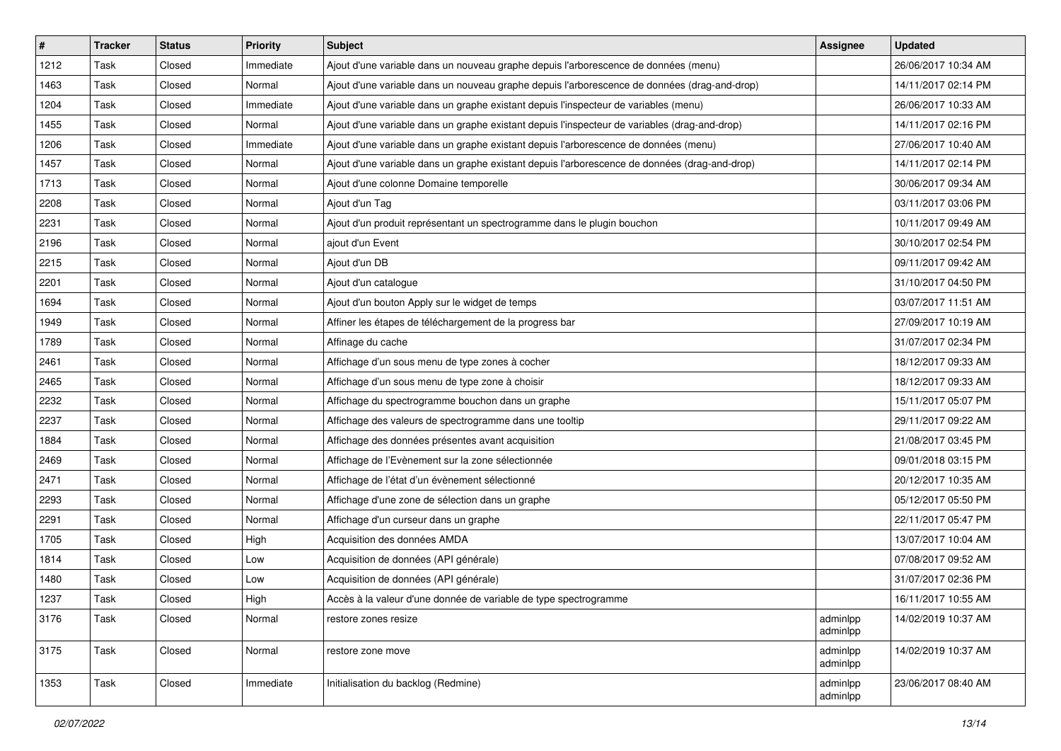| #    | <b>Tracker</b> | <b>Status</b> | <b>Priority</b> | Subject                                                                                       | Assignee             | <b>Updated</b>      |
|------|----------------|---------------|-----------------|-----------------------------------------------------------------------------------------------|----------------------|---------------------|
| 1212 | Task           | Closed        | Immediate       | Ajout d'une variable dans un nouveau graphe depuis l'arborescence de données (menu)           |                      | 26/06/2017 10:34 AM |
| 1463 | Task           | Closed        | Normal          | Ajout d'une variable dans un nouveau graphe depuis l'arborescence de données (drag-and-drop)  |                      | 14/11/2017 02:14 PM |
| 1204 | Task           | Closed        | Immediate       | Ajout d'une variable dans un graphe existant depuis l'inspecteur de variables (menu)          |                      | 26/06/2017 10:33 AM |
| 1455 | Task           | Closed        | Normal          | Ajout d'une variable dans un graphe existant depuis l'inspecteur de variables (drag-and-drop) |                      | 14/11/2017 02:16 PM |
| 1206 | Task           | Closed        | Immediate       | Ajout d'une variable dans un graphe existant depuis l'arborescence de données (menu)          |                      | 27/06/2017 10:40 AM |
| 1457 | Task           | Closed        | Normal          | Ajout d'une variable dans un graphe existant depuis l'arborescence de données (drag-and-drop) |                      | 14/11/2017 02:14 PM |
| 1713 | Task           | Closed        | Normal          | Ajout d'une colonne Domaine temporelle                                                        |                      | 30/06/2017 09:34 AM |
| 2208 | Task           | Closed        | Normal          | Ajout d'un Tag                                                                                |                      | 03/11/2017 03:06 PM |
| 2231 | Task           | Closed        | Normal          | Ajout d'un produit représentant un spectrogramme dans le plugin bouchon                       |                      | 10/11/2017 09:49 AM |
| 2196 | Task           | Closed        | Normal          | ajout d'un Event                                                                              |                      | 30/10/2017 02:54 PM |
| 2215 | Task           | Closed        | Normal          | Ajout d'un DB                                                                                 |                      | 09/11/2017 09:42 AM |
| 2201 | Task           | Closed        | Normal          | Ajout d'un catalogue                                                                          |                      | 31/10/2017 04:50 PM |
| 1694 | Task           | Closed        | Normal          | Ajout d'un bouton Apply sur le widget de temps                                                |                      | 03/07/2017 11:51 AM |
| 1949 | Task           | Closed        | Normal          | Affiner les étapes de téléchargement de la progress bar                                       |                      | 27/09/2017 10:19 AM |
| 1789 | Task           | Closed        | Normal          | Affinage du cache                                                                             |                      | 31/07/2017 02:34 PM |
| 2461 | Task           | Closed        | Normal          | Affichage d'un sous menu de type zones à cocher                                               |                      | 18/12/2017 09:33 AM |
| 2465 | Task           | Closed        | Normal          | Affichage d'un sous menu de type zone à choisir                                               |                      | 18/12/2017 09:33 AM |
| 2232 | Task           | Closed        | Normal          | Affichage du spectrogramme bouchon dans un graphe                                             |                      | 15/11/2017 05:07 PM |
| 2237 | Task           | Closed        | Normal          | Affichage des valeurs de spectrogramme dans une tooltip                                       |                      | 29/11/2017 09:22 AM |
| 1884 | Task           | Closed        | Normal          | Affichage des données présentes avant acquisition                                             |                      | 21/08/2017 03:45 PM |
| 2469 | Task           | Closed        | Normal          | Affichage de l'Evènement sur la zone sélectionnée                                             |                      | 09/01/2018 03:15 PM |
| 2471 | Task           | Closed        | Normal          | Affichage de l'état d'un évènement sélectionné                                                |                      | 20/12/2017 10:35 AM |
| 2293 | Task           | Closed        | Normal          | Affichage d'une zone de sélection dans un graphe                                              |                      | 05/12/2017 05:50 PM |
| 2291 | Task           | Closed        | Normal          | Affichage d'un curseur dans un graphe                                                         |                      | 22/11/2017 05:47 PM |
| 1705 | Task           | Closed        | High            | Acquisition des données AMDA                                                                  |                      | 13/07/2017 10:04 AM |
| 1814 | Task           | Closed        | Low             | Acquisition de données (API générale)                                                         |                      | 07/08/2017 09:52 AM |
| 1480 | Task           | Closed        | Low             | Acquisition de données (API générale)                                                         |                      | 31/07/2017 02:36 PM |
| 1237 | Task           | Closed        | High            | Accès à la valeur d'une donnée de variable de type spectrogramme                              |                      | 16/11/2017 10:55 AM |
| 3176 | Task           | Closed        | Normal          | restore zones resize                                                                          | adminlpp<br>adminlpp | 14/02/2019 10:37 AM |
| 3175 | Task           | Closed        | Normal          | restore zone move                                                                             | adminlpp<br>adminlpp | 14/02/2019 10:37 AM |
| 1353 | Task           | Closed        | Immediate       | Initialisation du backlog (Redmine)                                                           | adminlpp<br>adminlpp | 23/06/2017 08:40 AM |